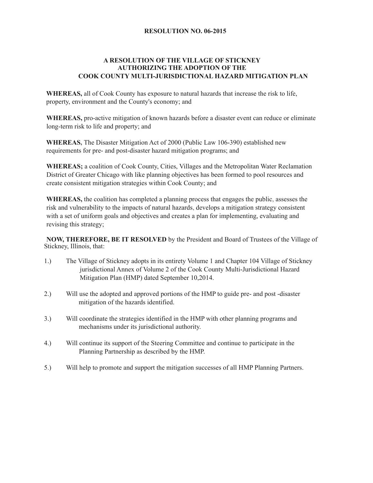## **RESOLUTION NO. 06-2015**

## **A RESOLUTION OF THE VILLAGE OF STICKNEY AUTHORIZING THE ADOPTION OF THE COOK COUNTY MULTI-JURISDICTIONAL HAZARD MITIGATION PLAN**

**WHEREAS,** all of Cook County has exposure to natural hazards that increase the risk to life, property, environment and the County's economy; and

**WHEREAS,** pro-active mitigation of known hazards before a disaster event can reduce or eliminate long-term risk to life and property; and

**WHEREAS,** The Disaster Mitigation Act of 2000 (Public Law 106-390) established new requirements for pre- and post-disaster hazard mitigation programs; and

**WHEREAS;** a coalition of Cook County, Cities, Villages and the Metropolitan Water Reclamation District of Greater Chicago with like planning objectives has been formed to pool resources and create consistent mitigation strategies within Cook County; and

**WHEREAS,** the coalition has completed a planning process that engages the public, assesses the risk and vulnerability to the impacts of natural hazards, develops a mitigation strategy consistent with a set of uniform goals and objectives and creates a plan for implementing, evaluating and revising this strategy;

**NOW, THEREFORE, BE IT RESOLVED** by the President and Board of Trustees of the Village of Stickney, Illinois, that:

- 1.) The Village of Stickney adopts in its entirety Volume 1 and Chapter 104 Village of Stickney jurisdictional Annex of Volume 2 of the Cook County Multi-Jurisdictional Hazard Mitigation Plan (HMP) dated September 10,2014.
- 2.) Will use the adopted and approved portions of the HMP to guide pre- and post -disaster mitigation of the hazards identified.
- 3.) Will coordinate the strategies identified in the HMP with other planning programs and mechanisms under its jurisdictional authority.
- 4.) Will continue its support of the Steering Committee and continue to participate in the Planning Partnership as described by the HMP.
- 5.) Will help to promote and support the mitigation successes of all HMP Planning Partners.